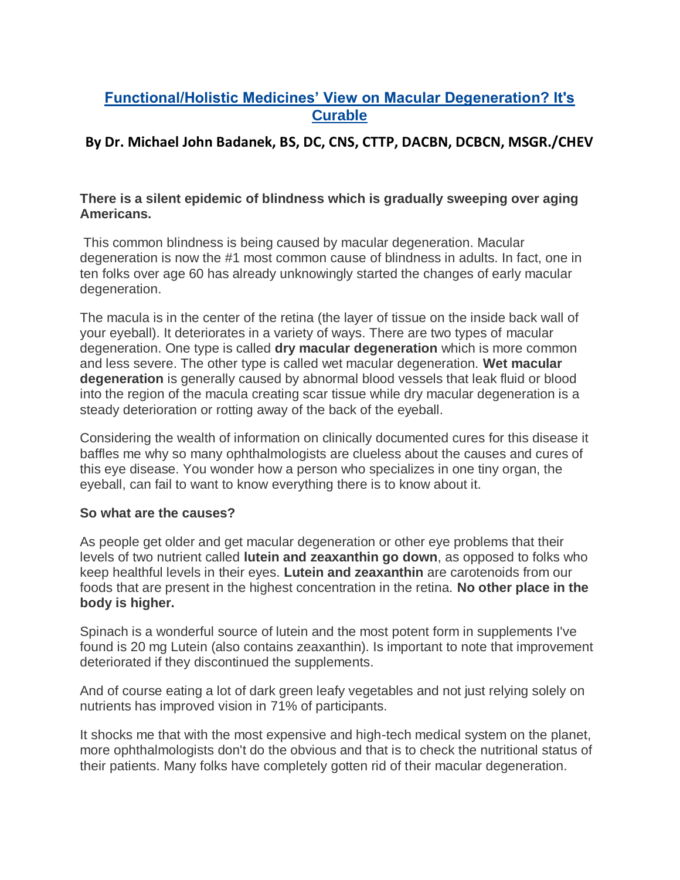# **Functional/Holistic Medicines' View on Macular Degeneration? It's Curable**

# **By Dr. Michael John Badanek, BS, DC, CNS, CTTP, DACBN, DCBCN, MSGR./CHEV**

### **There is a silent epidemic of blindness which is gradually sweeping over aging Americans.**

This common blindness is being caused by macular degeneration. Macular degeneration is now the #1 most common cause of blindness in adults. In fact, one in ten folks over age 60 has already unknowingly started the changes of early macular degeneration.

The macula is in the center of the retina (the layer of tissue on the inside back wall of your eyeball). It deteriorates in a variety of ways. There are two types of macular degeneration. One type is called **dry macular degeneration** which is more common and less severe. The other type is called wet macular degeneration. **Wet macular degeneration** is generally caused by abnormal blood vessels that leak fluid or blood into the region of the macula creating scar tissue while dry macular degeneration is a steady deterioration or rotting away of the back of the eyeball.

Considering the wealth of information on clinically documented cures for this disease it baffles me why so many ophthalmologists are clueless about the causes and cures of this eye disease. You wonder how a person who specializes in one tiny organ, the eyeball, can fail to want to know everything there is to know about it.

### **So what are the causes?**

As people get older and get macular degeneration or other eye problems that their levels of two nutrient called **lutein and zeaxanthin go down**, as opposed to folks who keep healthful levels in their eyes. **Lutein and zeaxanthin** are carotenoids from our foods that are present in the highest concentration in the retina. **No other place in the body is higher.** 

Spinach is a wonderful source of lutein and the most potent form in supplements I've found is 20 mg Lutein (also contains zeaxanthin). Is important to note that improvement deteriorated if they discontinued the supplements.

And of course eating a lot of dark green leafy vegetables and not just relying solely on nutrients has improved vision in 71% of participants.

It shocks me that with the most expensive and high-tech medical system on the planet, more ophthalmologists don't do the obvious and that is to check the nutritional status of their patients. Many folks have completely gotten rid of their macular degeneration.